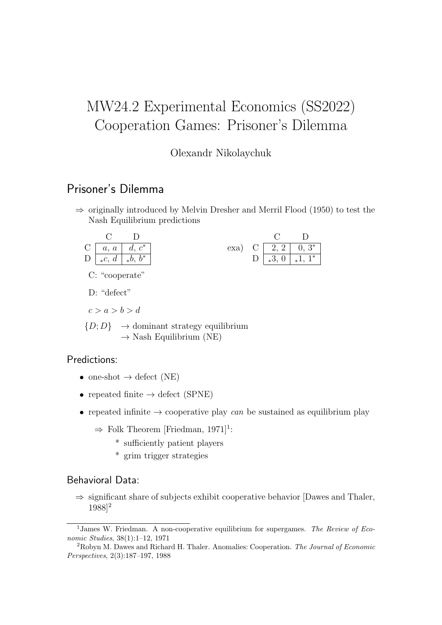# MW24.2 Experimental Economics (SS2022) Cooperation Games: Prisoner's Dilemma

#### Olexandr Nikolaychuk

### Prisoner's Dilemma

 $\Rightarrow$  originally introduced by Melvin Dresher and Merril Flood (1950) to test the Nash Equilibrium predictions

exa)

C D  $C \begin{array}{|c|c|c|} \hline 2, 2 & 0, 3^* \ \hline \end{array}$  $D \, \sqrt{\frac{3}{2} \, 0 \, \sqrt{\frac{1}{2} \, 1 \, 1^*}}$ 



C: "cooperate"

D: "defect"

 $c > a > b > d$ 

 $\{D; D\} \rightarrow$  dominant strategy equilibrium  $\rightarrow$  Nash Equilibrium (NE)

#### Predictions:

- one-shot  $\rightarrow$  defect (NE)
- repeated finite  $\rightarrow$  defect (SPNE)
- repeated infinite  $\rightarrow$  cooperative play can be sustained as equilibrium play
	- $\Rightarrow$  Folk Theorem [Friedman, 1971]<sup>1</sup>:
		- \* sufficiently patient players
		- \* grim trigger strategies

#### Behavioral Data:

 $\Rightarrow$  significant share of subjects exhibit cooperative behavior [Dawes and Thaler, 1988]<sup>2</sup>

<sup>&</sup>lt;sup>1</sup>James W. Friedman. A non-cooperative equilibrium for supergames. The Review of Economic Studies, 38(1):1–12, 1971

<sup>2</sup>Robyn M. Dawes and Richard H. Thaler. Anomalies: Cooperation. The Journal of Economic Perspectives, 2(3):187–197, 1988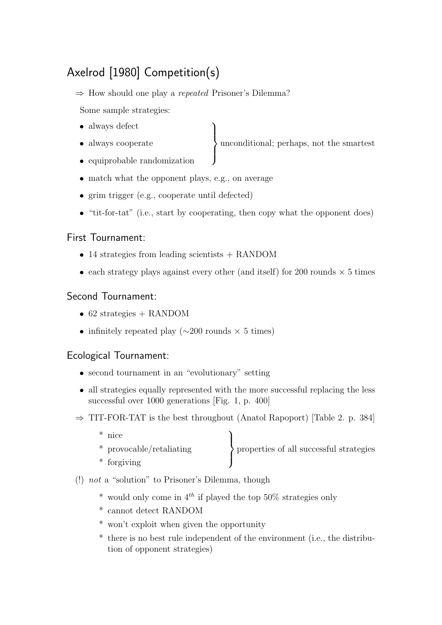# Axelrod [1980] Competition(s)

⇒ How should one play a repeated Prisoner's Dilemma?

Some sample strategies:

- always defect
- always cooperate

unconditional; perhaps, not the smartest

- equiprobable randomization
- match what the opponent plays, e.g., on average
- grim trigger (e.g., cooperate until defected)
- "tit-for-tat" (i.e., start by cooperating, then copy what the opponent does)

 $\mathcal{L}$ 

 $\int$ 

### First Tournament:

- 14 strategies from leading scientists + RANDOM
- each strategy plays against every other (and itself) for 200 rounds  $\times$  5 times

## Second Tournament:

- 62 strategies + RANDOM
- infinitely repeated play ( $\sim$ 200 rounds × 5 times)

## Ecological Tournament:

- second tournament in an "evolutionary" setting
- all strategies equally represented with the more successful replacing the less successful over 1000 generations [Fig. 1, p. 400]
- $\Rightarrow$  TIT-FOR-TAT is the best throughout (Anatol Rapoport) [Table 2. p. 384]
	- \* nice  $^\ast$  provocable/retaliating  $\mathcal{L}$  $\mathcal{L}$  $\int$ properties of all successful strategies \* forgiving
- (!) not a "solution" to Prisoner's Dilemma, though
	- \* would only come in  $4^{th}$  if played the top 50% strategies only
	- \* cannot detect RANDOM
	- \* won't exploit when given the opportunity
	- \* there is no best rule independent of the environment (i.e., the distribution of opponent strategies)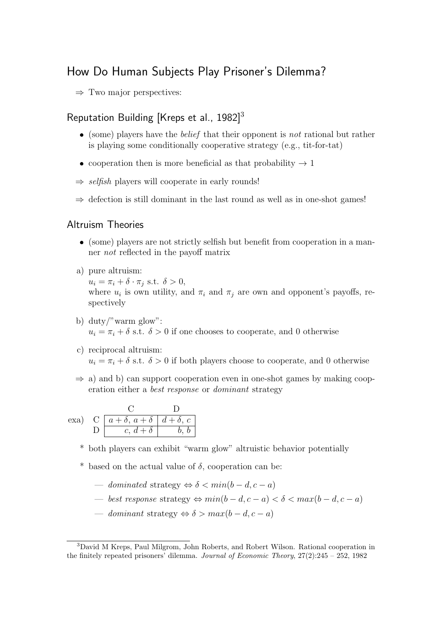## How Do Human Subjects Play Prisoner's Dilemma?

 $\Rightarrow$  Two major perspectives:

### Reputation Building [Kreps et al., 1982]<sup>3</sup>

- $\bullet$  (some) players have the *belief* that their opponent is *not* rational but rather is playing some conditionally cooperative strategy (e.g., tit-for-tat)
- cooperation then is more beneficial as that probability  $\rightarrow 1$
- $\Rightarrow$  selfish players will cooperate in early rounds!
- $\Rightarrow$  defection is still dominant in the last round as well as in one-shot games!

#### Altruism Theories

- (some) players are not strictly selfish but benefit from cooperation in a manner not reflected in the payoff matrix
- a) pure altruism:

 $u_i = \pi_i + \delta \cdot \pi_j \text{ s.t. } \delta > 0,$ where  $u_i$  is own utility, and  $\pi_i$  and  $\pi_j$  are own and opponent's payoffs, respectively

- b) duty/"warm glow":  $u_i = \pi_i + \delta$  s.t.  $\delta > 0$  if one chooses to cooperate, and 0 otherwise
- c) reciprocal altruism:  $u_i = \pi_i + \delta$  s.t.  $\delta > 0$  if both players choose to cooperate, and 0 otherwise
- $\Rightarrow$  a) and b) can support cooperation even in one-shot games by making cooperation either a best response or dominant strategy

exa) C D C |  $a + \delta$ ,  $a + \delta$  |  $d + \delta$ , c  $D \mid c, d + \delta \mid b, b$ 

- \* both players can exhibit "warm glow" altruistic behavior potentially
- \* based on the actual value of  $\delta$ , cooperation can be:
	- dominated strategy  $\Leftrightarrow \delta < min(b-d, c-a)$
	- best response strategy  $\Leftrightarrow min(b-d, c-a) < δ < max(b-d, c-a)$
	- dominant strategy  $\Leftrightarrow \delta > max(b-d, c-a)$

<sup>3</sup>David M Kreps, Paul Milgrom, John Roberts, and Robert Wilson. Rational cooperation in the finitely repeated prisoners' dilemma. Journal of Economic Theory,  $27(2):245 - 252$ , 1982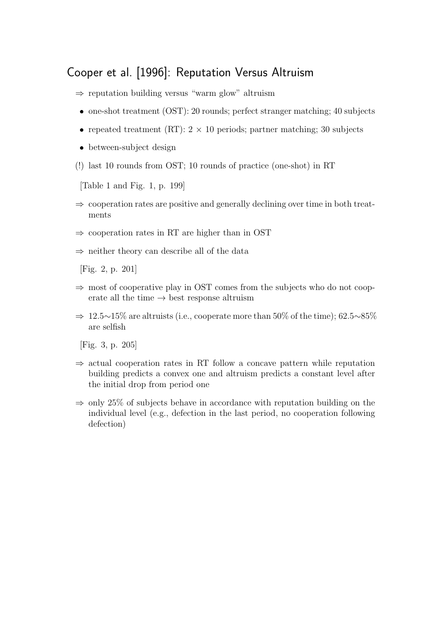## Cooper et al. [1996]: Reputation Versus Altruism

- ⇒ reputation building versus "warm glow" altruism
- one-shot treatment (OST): 20 rounds; perfect stranger matching; 40 subjects
- repeated treatment (RT):  $2 \times 10$  periods; partner matching; 30 subjects
- between-subject design
- (!) last 10 rounds from OST; 10 rounds of practice (one-shot) in RT

[Table 1 and Fig. 1, p. 199]

- $\Rightarrow$  cooperation rates are positive and generally declining over time in both treatments
- $\Rightarrow$  cooperation rates in RT are higher than in OST
- $\Rightarrow$  neither theory can describe all of the data

[Fig. 2, p. 201]

- $\Rightarrow$  most of cooperative play in OST comes from the subjects who do not cooperate all the time  $\rightarrow$  best response altruism
- $\Rightarrow 12.5 \sim 15\%$  are altruists (i.e., cooperate more than 50% of the time); 62.5∼85% are selfish

[Fig. 3, p. 205]

- $\Rightarrow$  actual cooperation rates in RT follow a concave pattern while reputation building predicts a convex one and altruism predicts a constant level after the initial drop from period one
- $\Rightarrow$  only 25% of subjects behave in accordance with reputation building on the individual level (e.g., defection in the last period, no cooperation following defection)